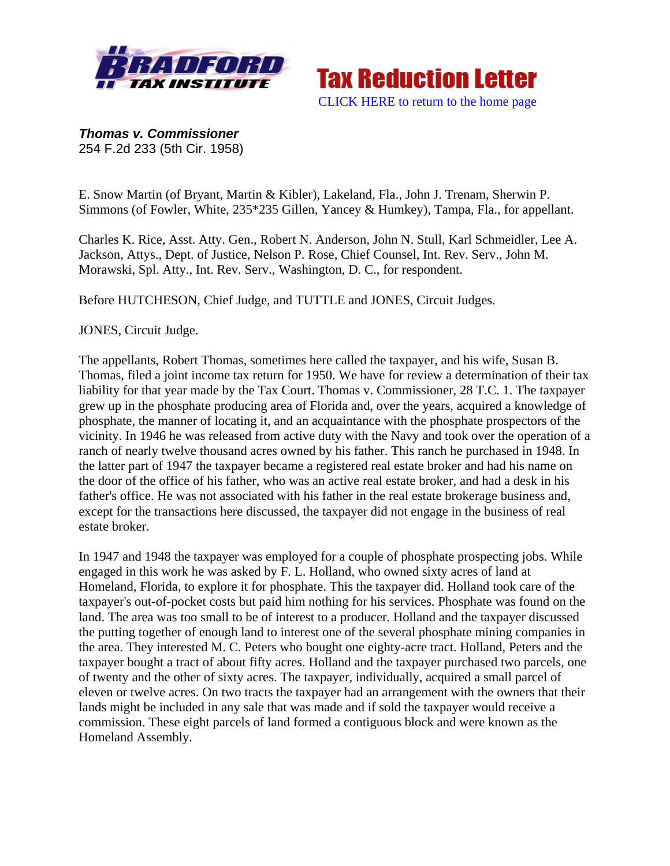



*Thomas v. Commissioner* 254 F.2d 233 (5th Cir. 1958)

E. Snow Martin (of Bryant, Martin & Kibler), Lakeland, Fla., John J. Trenam, Sherwin P. Simmons (of Fowler, White, 235\*235 Gillen, Yancey & Humkey), Tampa, Fla., for appellant.

Charles K. Rice, Asst. Atty. Gen., Robert N. Anderson, John N. Stull, Karl Schmeidler, Lee A. Jackson, Attys., Dept. of Justice, Nelson P. Rose, Chief Counsel, Int. Rev. Serv., John M. Morawski, Spl. Atty., Int. Rev. Serv., Washington, D. C., for respondent.

Before HUTCHESON, Chief Judge, and TUTTLE and JONES, Circuit Judges.

JONES, Circuit Judge.

The appellants, Robert Thomas, sometimes here called the taxpayer, and his wife, Susan B. Thomas, filed a joint income tax return for 1950. We have for review a determination of their tax liability for that year made by the Tax Court. Thomas v. Commissioner, 28 T.C. 1. The taxpayer grew up in the phosphate producing area of Florida and, over the years, acquired a knowledge of phosphate, the manner of locating it, and an acquaintance with the phosphate prospectors of the vicinity. In 1946 he was released from active duty with the Navy and took over the operation of a ranch of nearly twelve thousand acres owned by his father. This ranch he purchased in 1948. In the latter part of 1947 the taxpayer became a registered real estate broker and had his name on the door of the office of his father, who was an active real estate broker, and had a desk in his father's office. He was not associated with his father in the real estate brokerage business and, except for the transactions here discussed, the taxpayer did not engage in the business of real estate broker.

In 1947 and 1948 the taxpayer was employed for a couple of phosphate prospecting jobs. While engaged in this work he was asked by F. L. Holland, who owned sixty acres of land at Homeland, Florida, to explore it for phosphate. This the taxpayer did. Holland took care of the taxpayer's out-of-pocket costs but paid him nothing for his services. Phosphate was found on the land. The area was too small to be of interest to a producer. Holland and the taxpayer discussed the putting together of enough land to interest one of the several phosphate mining companies in the area. They interested M. C. Peters who bought one eighty-acre tract. Holland, Peters and the taxpayer bought a tract of about fifty acres. Holland and the taxpayer purchased two parcels, one of twenty and the other of sixty acres. The taxpayer, individually, acquired a small parcel of eleven or twelve acres. On two tracts the taxpayer had an arrangement with the owners that their lands might be included in any sale that was made and if sold the taxpayer would receive a commission. These eight parcels of land formed a contiguous block and were known as the Homeland Assembly.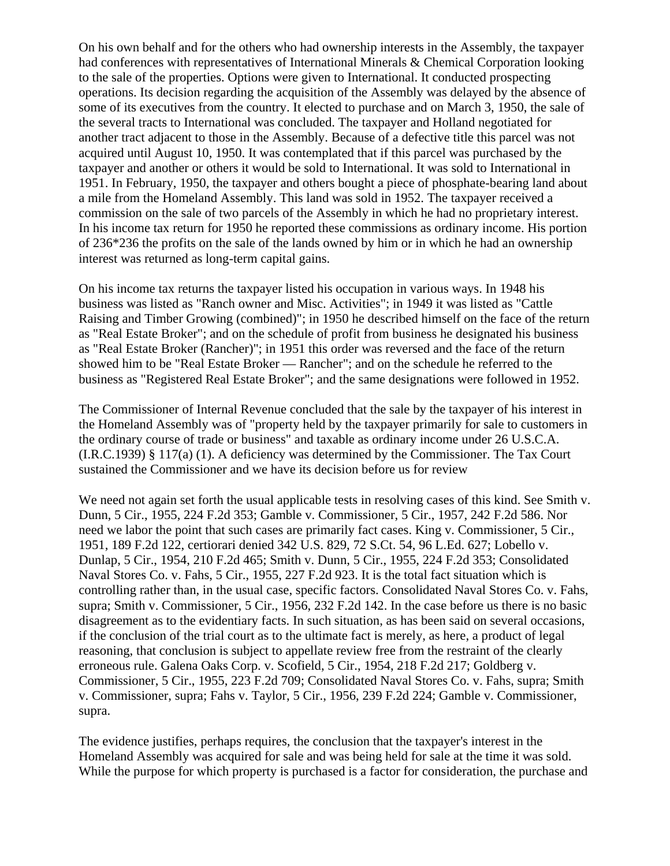On his own behalf and for the others who had ownership interests in the Assembly, the taxpayer had conferences with representatives of International Minerals & Chemical Corporation looking to the sale of the properties. Options were given to International. It conducted prospecting operations. Its decision regarding the acquisition of the Assembly was delayed by the absence of some of its executives from the country. It elected to purchase and on March 3, 1950, the sale of the several tracts to International was concluded. The taxpayer and Holland negotiated for another tract adjacent to those in the Assembly. Because of a defective title this parcel was not acquired until August 10, 1950. It was contemplated that if this parcel was purchased by the taxpayer and another or others it would be sold to International. It was sold to International in 1951. In February, 1950, the taxpayer and others bought a piece of phosphate-bearing land about a mile from the Homeland Assembly. This land was sold in 1952. The taxpayer received a commission on the sale of two parcels of the Assembly in which he had no proprietary interest. In his income tax return for 1950 he reported these commissions as ordinary income. His portion of 236\*236 the profits on the sale of the lands owned by him or in which he had an ownership interest was returned as long-term capital gains.

On his income tax returns the taxpayer listed his occupation in various ways. In 1948 his business was listed as "Ranch owner and Misc. Activities"; in 1949 it was listed as "Cattle Raising and Timber Growing (combined)"; in 1950 he described himself on the face of the return as "Real Estate Broker"; and on the schedule of profit from business he designated his business as "Real Estate Broker (Rancher)"; in 1951 this order was reversed and the face of the return showed him to be "Real Estate Broker — Rancher"; and on the schedule he referred to the business as "Registered Real Estate Broker"; and the same designations were followed in 1952.

The Commissioner of Internal Revenue concluded that the sale by the taxpayer of his interest in the Homeland Assembly was of "property held by the taxpayer primarily for sale to customers in the ordinary course of trade or business" and taxable as ordinary income under 26 U.S.C.A. (I.R.C.1939) § 117(a) (1). A deficiency was determined by the Commissioner. The Tax Court sustained the Commissioner and we have its decision before us for review

We need not again set forth the usual applicable tests in resolving cases of this kind. See Smith v. Dunn, 5 Cir., 1955, 224 F.2d 353; Gamble v. Commissioner, 5 Cir., 1957, 242 F.2d 586. Nor need we labor the point that such cases are primarily fact cases. King v. Commissioner, 5 Cir., 1951, 189 F.2d 122, certiorari denied 342 U.S. 829, 72 S.Ct. 54, 96 L.Ed. 627; Lobello v. Dunlap, 5 Cir., 1954, 210 F.2d 465; Smith v. Dunn, 5 Cir., 1955, 224 F.2d 353; Consolidated Naval Stores Co. v. Fahs, 5 Cir., 1955, 227 F.2d 923. It is the total fact situation which is controlling rather than, in the usual case, specific factors. Consolidated Naval Stores Co. v. Fahs, supra; Smith v. Commissioner, 5 Cir., 1956, 232 F.2d 142. In the case before us there is no basic disagreement as to the evidentiary facts. In such situation, as has been said on several occasions, if the conclusion of the trial court as to the ultimate fact is merely, as here, a product of legal reasoning, that conclusion is subject to appellate review free from the restraint of the clearly erroneous rule. Galena Oaks Corp. v. Scofield, 5 Cir., 1954, 218 F.2d 217; Goldberg v. Commissioner, 5 Cir., 1955, 223 F.2d 709; Consolidated Naval Stores Co. v. Fahs, supra; Smith v. Commissioner, supra; Fahs v. Taylor, 5 Cir., 1956, 239 F.2d 224; Gamble v. Commissioner, supra.

The evidence justifies, perhaps requires, the conclusion that the taxpayer's interest in the Homeland Assembly was acquired for sale and was being held for sale at the time it was sold. While the purpose for which property is purchased is a factor for consideration, the purchase and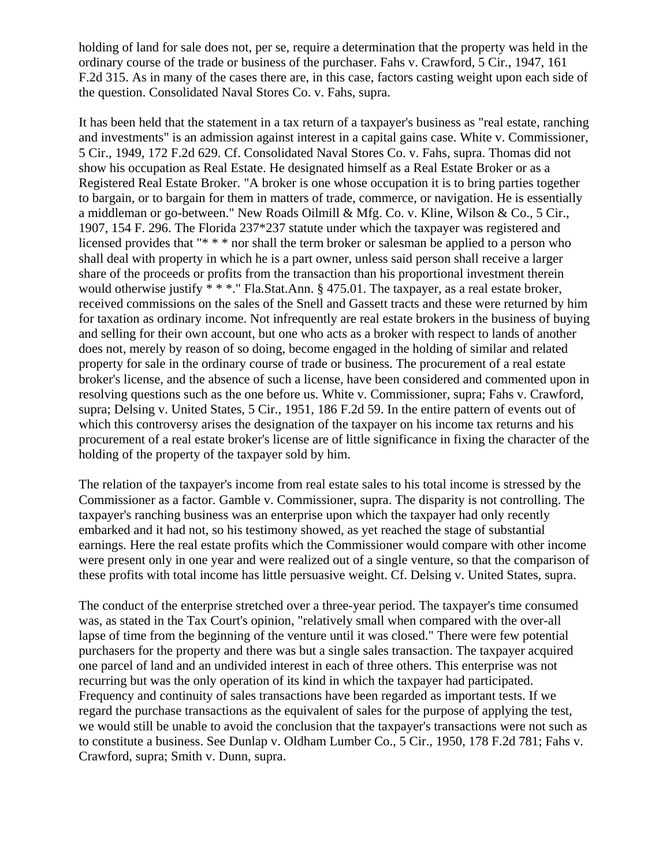holding of land for sale does not, per se, require a determination that the property was held in the ordinary course of the trade or business of the purchaser. Fahs v. Crawford, 5 Cir., 1947, 161 F.2d 315. As in many of the cases there are, in this case, factors casting weight upon each side of the question. Consolidated Naval Stores Co. v. Fahs, supra.

It has been held that the statement in a tax return of a taxpayer's business as "real estate, ranching and investments" is an admission against interest in a capital gains case. White v. Commissioner, 5 Cir., 1949, 172 F.2d 629. Cf. Consolidated Naval Stores Co. v. Fahs, supra. Thomas did not show his occupation as Real Estate. He designated himself as a Real Estate Broker or as a Registered Real Estate Broker. "A broker is one whose occupation it is to bring parties together to bargain, or to bargain for them in matters of trade, commerce, or navigation. He is essentially a middleman or go-between." New Roads Oilmill & Mfg. Co. v. Kline, Wilson & Co., 5 Cir., 1907, 154 F. 296. The Florida 237\*237 statute under which the taxpayer was registered and licensed provides that "\* \* \* nor shall the term broker or salesman be applied to a person who shall deal with property in which he is a part owner, unless said person shall receive a larger share of the proceeds or profits from the transaction than his proportional investment therein would otherwise justify \* \* \*." Fla.Stat.Ann. § 475.01. The taxpayer, as a real estate broker, received commissions on the sales of the Snell and Gassett tracts and these were returned by him for taxation as ordinary income. Not infrequently are real estate brokers in the business of buying and selling for their own account, but one who acts as a broker with respect to lands of another does not, merely by reason of so doing, become engaged in the holding of similar and related property for sale in the ordinary course of trade or business. The procurement of a real estate broker's license, and the absence of such a license, have been considered and commented upon in resolving questions such as the one before us. White v. Commissioner, supra; Fahs v. Crawford, supra; Delsing v. United States, 5 Cir., 1951, 186 F.2d 59. In the entire pattern of events out of which this controversy arises the designation of the taxpayer on his income tax returns and his procurement of a real estate broker's license are of little significance in fixing the character of the holding of the property of the taxpayer sold by him.

The relation of the taxpayer's income from real estate sales to his total income is stressed by the Commissioner as a factor. Gamble v. Commissioner, supra. The disparity is not controlling. The taxpayer's ranching business was an enterprise upon which the taxpayer had only recently embarked and it had not, so his testimony showed, as yet reached the stage of substantial earnings. Here the real estate profits which the Commissioner would compare with other income were present only in one year and were realized out of a single venture, so that the comparison of these profits with total income has little persuasive weight. Cf. Delsing v. United States, supra.

The conduct of the enterprise stretched over a three-year period. The taxpayer's time consumed was, as stated in the Tax Court's opinion, "relatively small when compared with the over-all lapse of time from the beginning of the venture until it was closed." There were few potential purchasers for the property and there was but a single sales transaction. The taxpayer acquired one parcel of land and an undivided interest in each of three others. This enterprise was not recurring but was the only operation of its kind in which the taxpayer had participated. Frequency and continuity of sales transactions have been regarded as important tests. If we regard the purchase transactions as the equivalent of sales for the purpose of applying the test, we would still be unable to avoid the conclusion that the taxpayer's transactions were not such as to constitute a business. See Dunlap v. Oldham Lumber Co., 5 Cir., 1950, 178 F.2d 781; Fahs v. Crawford, supra; Smith v. Dunn, supra.